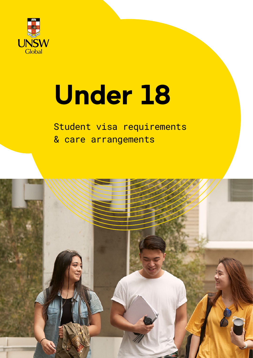

# **Under 18**

### Student visa requirements & care arrangements

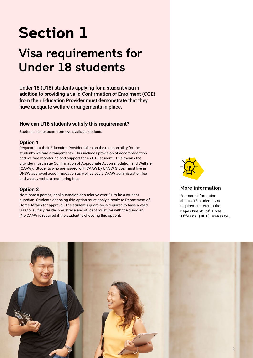# **Section 1**

### Visa requirements for Under 18 students

Under 18 (U18) students applying for a student visa in addition to providing a valid Confirmation of Enrolment (COE) from their Education Provider must demonstrate that they have adequate welfare arrangements in place.

#### **How can U18 students satisfy this requirement?**

Students can choose from two available options:

#### **Option 1**

Request that their Education Provider takes on the responsibility for the student's welfare arrangements. This includes provision of accommodation and welfare monitoring and support for an U18 student. This means the provider must issue Confirmation of Appropriate Accommodation and Welfare (CAAW). Students who are issued with CAAW by UNSW Global must live in UNSW approved accommodation as well as pay a CAAW administration fee and weekly welfare monitoring fees.

#### **Option 2**

Nominate a parent, legal custodian or a relative over 21 to be a student guardian. Students choosing this option must apply directly to Department of Home Affairs for approval. The student's guardian is required to have a valid visa to lawfully reside in Australia and student must live with the guardian. (No CAAW is required if the student is choosing this option).



#### [More information](https://www.homeaffairs.gov.au/)

[For more information](https://www.homeaffairs.gov.au/)  [about U18 students visa](https://www.homeaffairs.gov.au/)  [requirement refer to the](https://www.homeaffairs.gov.au/)  **[Department of Home](https://www.homeaffairs.gov.au/)  [Affairs \(DHA\) website.](https://www.homeaffairs.gov.au/)**

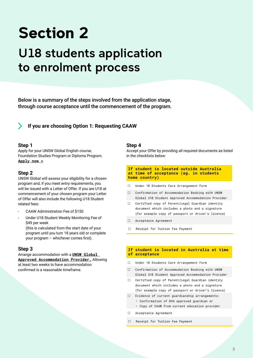# **Section 2**

### U18 students application to enrolment process

Below is a summary of the steps involved from the application stage, through course acceptance until the commencement of the program.

#### **If you are choosing Option 1: Requesting CAAW**

#### **Step 1**

Apply for your UNSW Global English course, Foundation Studies Program or Diploma Program. **[Apply now >](https://www.unswglobal.unsw.edu.au/programs-courses/application/)**

#### **Step 2**

UNSW Global will assess your eligibility for a chosen program and, if you meet entry requirements, you will be issued with a Letter of Offer. If you are U18 at commencement of your chosen program your Letter of Offer will also include the following U18 Student related fees:

- CAAW Administration Fee of \$150
- Under U18 Student Weekly Monitoring Fee of \$49 per week (this is calculated from the start date of your

program until you turn 18 years old or complete your program – whichever comes first).

#### **Step 3**

Arrange accommodation with a **[UNSW Global](https://www.unswglobal.unsw.edu.au/programs-courses/things-to-know/how-to-prepare/accommodation/under-18/)  [Approved Accommodation Provider.](https://www.unswglobal.unsw.edu.au/programs-courses/things-to-know/how-to-prepare/accommodation/under-18/)** Allowing at least two weeks to have accommodation confirmed is a reasonable timeframe.

#### **Step 4**

Accept your Offer by providing all required documents as listed in the checklists below:

#### **If student is located outside Australia at time of acceptance (eg. in students home country)**

- Under 18 Students Care Arrangement Form
- □ Confirmation of Accommodation Booking with UNSW Global U18 Student Approved Accommodation Provider
- Certified copy of Parent/Legal Guardian identity document which includes a photo and a signature (for example copy of passport or driver's licence)
- Acceptance Agreement
- Receipt for Tuition Fee Payment

#### **If student is located in Australia at time of acceptance**

- □ Under 18 Students Care Arrangement Form
- Confirmation of Accommodation Booking with UNSW Global U18 Student Approved Accommodation Provider
- Certified copy of Parent/Legal Guardian identity document which includes a photo and a signature (for example copy of passport or driver's licence)
- $\Box$  Evidence of current quardianship arrangements: • Confirmation of DHA approved guardian or
	- Copy of CAAW from current education provider
- Acceptance Agreement
- □ Receipt for Tuition Fee Payment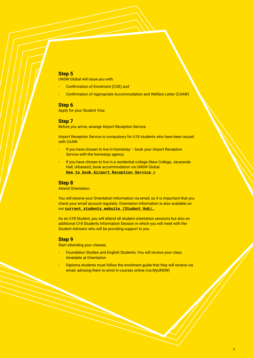#### **Step 5**

UNSW Global will issue you with:

- Confirmation of Enrolment (COE) and
- Confirmation of Appropriate Accommodation and Welfare Letter (CAAW)

#### **Step 6**

Apply for your Student Visa.

#### **Step 7**

Before you arrive, arrange Airport Reception Service.

Airport Reception Service is compulsory for U18 students who have been issued with CAAW:

- If you have chosen to live in homestay book your Airport Reception Service with the homestay agency.
- If you have chosen to live in a residential college (New College, Jacaranda Hall, Urbanest), book accommodation via UNSW Global. **[How to book Airport Reception Service >](https://www.unswglobal.unsw.edu.au/programs-courses/things-to-know/student-support/airport-pick-up/)**

#### **Step 8**

Attend Orientation.

You will receive your Orientation Information via email, so it is important that you check your email account regularly. Orientation information is also available on our **[current students website \(Student Hub\).](https://my.unswglobal.unsw.edu.au/orientation/)**

As an U18 Student, you will attend all student orientation sessions but also an additional U18 Students Information Session in which you will meet with the Student Advisers who will be providing support to you.

#### **Step 9**

Start attending your classes.

- Foundation Studies and English Students: You will receive your class timetable at Orientation
- Diploma students must follow the enrolment guide that they will receive via email, advising them to enrol in courses online (via MyUNSW)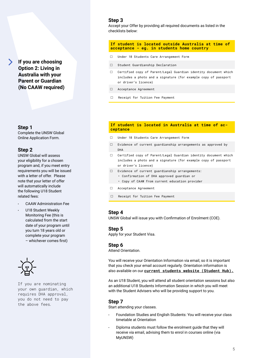### **If you are choosing Option 2: Living in Australia with your**

**Parent or Guardian (No CAAW required)** 

#### **Step 1**

Complete the UNSW Global Online Application Form.

#### **Step 2**

UNSW Global will assess your eligibility for a chosen program and, if you meet entry requirements you will be issued with a letter of offer. Please note that your letter of offer will automatically include the following U18 Student related fees:

- CAAW Administration Fee
- U18 Student Weekly Monitoring Fee (this is calculated from the start date of your program until you turn 18 years old or complete your program – whichever comes first)



If you are nominating your own guardian, which requires DHA approval, you do not need to pay the above fees.

#### **Step 3**

Accept your Offer by providing all required documents as listed in the checklists below:

#### **If student is located outside Australia at time of acceptance - eg. in students home country**

- Under 18 Students Care Arrangement Form
- □ Student Guardianship Declaration
- Certified copy of Parent/Legal Guardian identity document which includes a photo and a signature (for example copy of passport or driver's licence)
- Acceptance Agreement
- □ Receipt for Tuition Fee Payment

#### **If student is located in Australia at time of acceptance**

- Under 18 Students Care Arrangement Form
- $\Box$  Evidence of current quardianship arrangements as approved by DHA
- Certified copy of Parent/Legal Guardian identity document which includes a photo and a signature (for example copy of passport or driver's licence)
- $\Box$  Evidence of current quardianship arrangements:
	- Confirmation of DHA approved guardian or
	- Copy of CAAW from current education provider
- Acceptance Agreement
- Receipt for Tuition Fee Payment

#### **Step 4**

UNSW Global will issue you with Confirmation of Enrolment (COE).

#### **Step 5**

Apply for your Student Visa.

#### **Step 6**

Attend Orientation.

You will receive your Orientation Information via email, so it is important that you check your email account regularly. Orientation information is also available on our **[current students website \(Student Hub\).](https://my.unswglobal.unsw.edu.au/orientation/)**

As an U18 Student, you will attend all student orientation sessions but also an additional U18 Students Information Session in which you will meet with the Student Advisers who will be providing support to you.

#### **Step 7**

Start attending your classes.

- Foundation Studies and English Students: You will receive your class timetable at Orientation
- Diploma students must follow the enrolment guide that they will receive via email, advising them to enrol in courses online (via MyUNSW)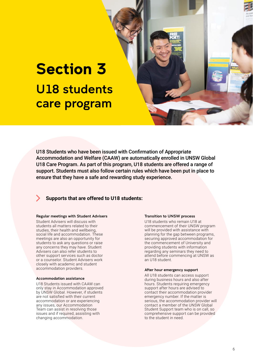### **Section 3** U18 students care program

U18 Students who have been issued with Confirmation of Appropriate Accommodation and Welfare (CAAW) are automatically enrolled in UNSW Global U18 Care Program. As part of this program, U18 students are offered a range of support. Students must also follow certain rules which have been put in place to ensure that they have a safe and rewarding study experience.

#### **Supports that are offered to U18 students:**

#### Regular meetings with Student Advisers

Student Advisers will discuss with students all matters related to their studies, their health and wellbeing, social life and accommodation. These meetings are also an opportunity for students to ask any questions or raise any concerns they may have. Student Advisers can also refer students to other support services such as doctor or a counselor. Student Advisers work closely with academic and student accommodation providers.

#### Accommodation assistance

U18 Students issued with CAAW can only stay in Accommodation approved by UNSW Global. However, if students are not satisfied with their current accommodation or are experiencing any issues, our Accommodation Team can assist in resolving those issues and if required, assisting with changing accommodation.

#### Transition to UNSW process

U18 students who remain U18 at commencement of their UNSW program will be provided with assistance with planning for the gap between programs, securing approved accommodation for the commencement of University and providing students with information regarding any seminars they need to attend before commencing at UNSW as an U18 student.

#### After hour emergency support

All U18 students can access support during business hours and also after hours. Students requiring emergency support after hours are advised to contact their accommodation provider emergency number. If the matter is serious, the accommodation provider will contact a member of the UNSW Global Student Support team who is on call, so comprehensive support can be provided to the student in need.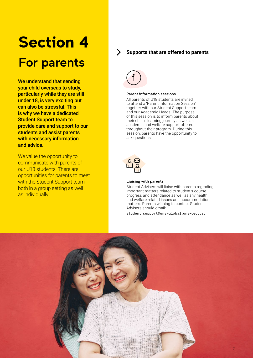# **Section 4** For parents

We understand that sending your child overseas to study, particularly while they are still under 18, is very exciting but can also be stressful. This is why we have a dedicated Student Support team to provide care and support to our students and assist parents with necessary information and advice.

We value the opportunity to communicate with parents of our U18 students. There are opportunities for parents to meet with the Student Support team both in a group setting as well as individually.

#### **Supports that are offered to parents**



#### Parent information sessions

All parents of U18 students are invited to attend a 'Parent Information Session' together with our Student Support team and our Academic Heads. The purpose of this session is to inform parents about their child's learning journey as well as academic and welfare support offered throughout their program. During this session, parents have the opportunity to ask questions.



#### Liaising with parents

Student Advisers will liaise with parents regrading important matters related to student's course progress and attendance as well as any health and welfare related issues and accommodation matters. Parents wishing to contact Student Advisers should email:

[student.support@unswglobal.unsw.edu.au](mailto:student.support%40unswglobal.unsw.edu.au?subject=U18%20students)